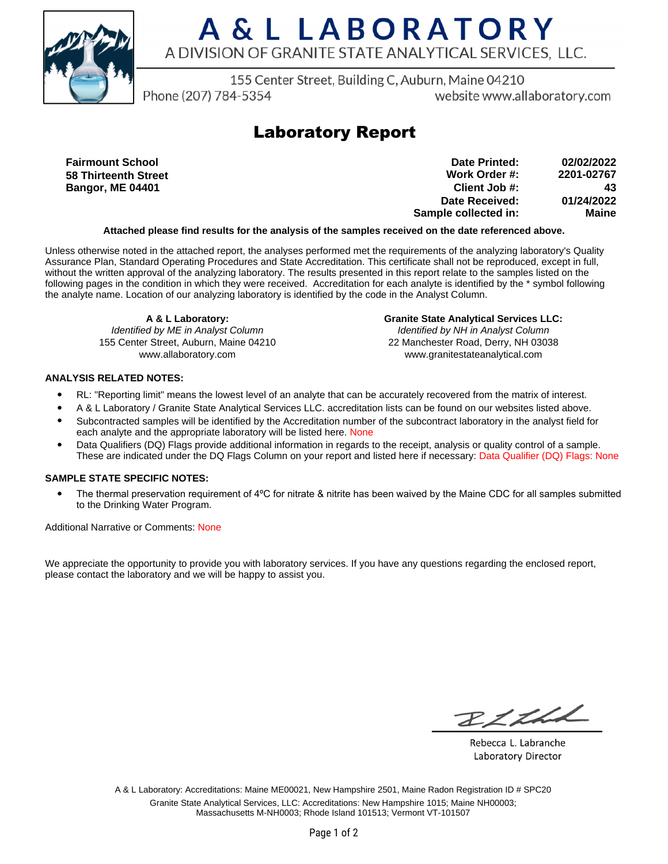

## A & L LABORATORY A DIVISION OF GRANITE STATE ANALYTICAL SERVICES, LLC.

155 Center Street, Building C, Auburn, Maine 04210

Phone (207) 784-5354

website www.allaboratory.com

### **Laboratory Report**

**Fairmount School 58 Thirteenth Street Bangor, ME 04401**

**Work Order #: Client Job #: Date Received: Sample collected in: 2201-02767 43 01/24/2022 Maine Date Printed: 02/02/2022**

#### **Attached please find results for the analysis of the samples received on the date referenced above.**

Unless otherwise noted in the attached report, the analyses performed met the requirements of the analyzing laboratory's Quality Assurance Plan, Standard Operating Procedures and State Accreditation. This certificate shall not be reproduced, except in full, without the written approval of the analyzing laboratory. The results presented in this report relate to the samples listed on the following pages in the condition in which they were received. Accreditation for each analyte is identified by the \* symbol following the analyte name. Location of our analyzing laboratory is identified by the code in the Analyst Column.

**A & L Laboratory:** Identified by ME in Analyst Column 155 Center Street, Auburn, Maine 04210 www.allaboratory.com

**Granite State Analytical Services LLC:** Identified by NH in Analyst Column 22 Manchester Road, Derry, NH 03038 www.granitestateanalytical.com

### **ANALYSIS RELATED NOTES:**

- RL: "Reporting limit" means the lowest level of an analyte that can be accurately recovered from the matrix of interest.
- A & L Laboratory / Granite State Analytical Services LLC. accreditation lists can be found on our websites listed above.
- Subcontracted samples will be identified by the Accreditation number of the subcontract laboratory in the analyst field for each analyte and the appropriate laboratory will be listed here. None
- Data Qualifiers (DQ) Flags provide additional information in regards to the receipt, analysis or quality control of a sample. These are indicated under the DQ Flags Column on your report and listed here if necessary: Data Qualifier (DQ) Flags: None

#### **SAMPLE STATE SPECIFIC NOTES:**

• The thermal preservation requirement of 4°C for nitrate & nitrite has been waived by the Maine CDC for all samples submitted to the Drinking Water Program.

Additional Narrative or Comments: None

We appreciate the opportunity to provide you with laboratory services. If you have any questions regarding the enclosed report, please contact the laboratory and we will be happy to assist you.

RICHL

Rebecca L. Labranche Laboratory Director

A & L Laboratory: Accreditations: Maine ME00021, New Hampshire 2501, Maine Radon Registration ID # SPC20 Granite State Analytical Services, LLC: Accreditations: New Hampshire 1015; Maine NH00003; Massachusetts M-NH0003; Rhode Island 101513; Vermont VT-101507